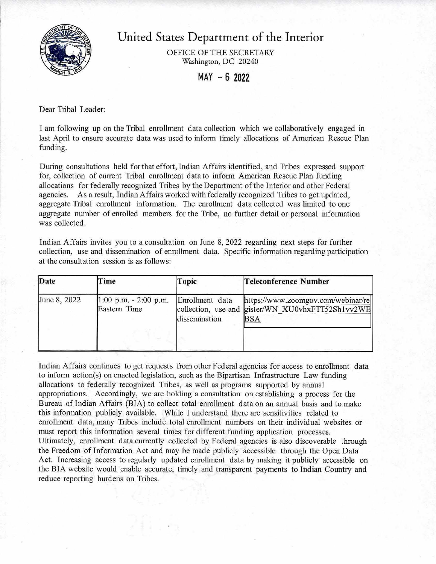

United States Department of the Interior

OFFICE OF THE SECRETARY Washington, DC 20240

MAY - **6 2022** 

Dear Tribal Leader:

I am following up on the Tribal enrollment data collection which we collaboratively engaged in last April to ensure accurate data was used to inform timely allocations of American Rescue Plan funding.

During consultations held for that effort, Indian Affairs identified, and Tribes expressed support for, collection of current Tribal enrollment data to inform American Rescue Plan funding allocations for federally recognized Tribes by the Department ofthe Interior and other Federal agencies. As a result, Indian Affairs worked with federally recognized Tribes to get updated, aggregate Tribal enrollment information. The enrollment data collected was limited to one aggregate number of enrolled members for the Tribe, no further detail or personal information was collected.

Indian Affairs invites you to a consultation on June 8, 2022 regarding next steps for further collection, use and dissemination of enrolhnent data. Specific information regarding participation at the consultation session is as follows:

| Date         | <b>Time</b>                              | Topic                            | Teleconference Number                                                                          |
|--------------|------------------------------------------|----------------------------------|------------------------------------------------------------------------------------------------|
| June 8, 2022 | $1:00$ p.m. $-2:00$ p.m.<br>Eastern Time | Enrollment data<br>dissemination | https://www.zoomgov.com/webinar/re<br>collection, use and gister/WN XU0vhxFTT52Sh1vv2WE<br>BSA |

Indian Affairs continues to get requests from other Federal agencies for access to enrollment data to inform action(s) on enacted legislation, such as the Bipartisan Infrastructure Law funding allocations to federally recognized Tribes, as well as programs supported by annual appropriations. Accordingly, we are holding a consultation on establishing a process for the Bureau of Indian Affairs (BIA) to collect total enrollment data on an annual basis and to make this information publicly available. While I understand there are sensitivities related to enrolhnent data, many Tribes include total enrollment numbers on their individual websites or must report this information several times for different funding application processes. Ultimately, enrollment data currently collected by Federal agencies is also discoverable through the Freedom of Information Act and may be made publicly accessible through the Open Data Act. Increasing access to regularly updated enrollment data by making it publicly accessible on the BIA website would enable accurate, timely and transparent payments to Indian Country and reduce reporting burdens on Tribes.